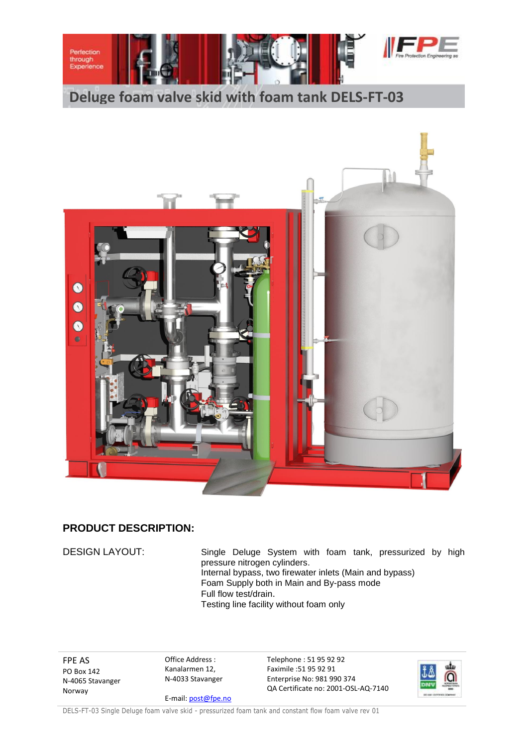

**Deluge foam valve skid with foam tank DELS-FT-03**



## **PRODUCT DESCRIPTION:**

DESIGN LAYOUT: Single Deluge System with foam tank, pressurized by high pressure nitrogen cylinders. Internal bypass, two firewater inlets (Main and bypass) Foam Supply both in Main and By-pass mode Full flow test/drain. Testing line facility without foam only

FPE AS PO Box 142 N-4065 Stavanger Norway

Office Address : Kanalarmen 12, N-4033 Stavanger

E-mail[: post@fpe.no](mailto:post@fpe.no)

Telephone : 51 95 92 92 Faximile :51 95 92 91 Enterprise No: 981 990 374 QA Certificate no: 2001-OSL-AQ-7140



DELS-FT-03 Single Deluge foam valve skid - pressurized foam tank and constant flow foam valve rev 01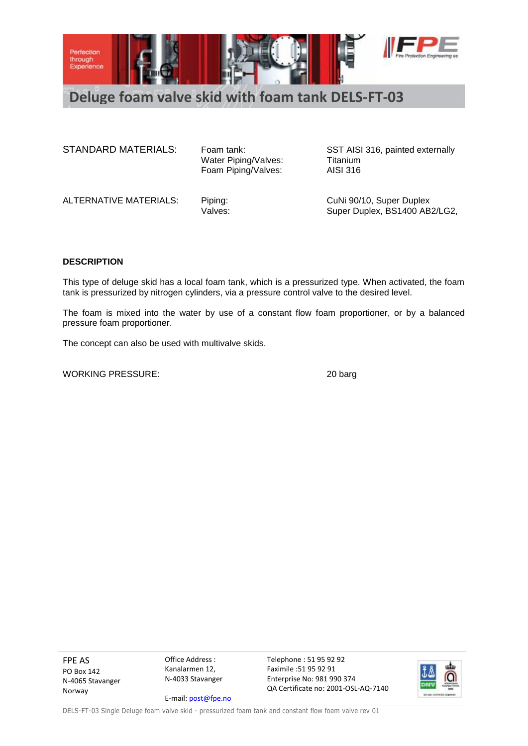

**Deluge foam valve skid with foam tank DELS-FT-03**

STANDARD MATERIALS: Foam tank: SST AISI 316, painted externally

Water Piping/Valves: Titanium<br>Foam Piping/Valves: AISI 316 Foam Piping/Valves:

ALTERNATIVE MATERIALS: Piping: CuNi 90/10, Super Duplex

Valves: Valves: Super Duplex, BS1400 AB2/LG2,

## **DESCRIPTION**

This type of deluge skid has a local foam tank, which is a pressurized type. When activated, the foam tank is pressurized by nitrogen cylinders, via a pressure control valve to the desired level.

The foam is mixed into the water by use of a constant flow foam proportioner, or by a balanced pressure foam proportioner.

The concept can also be used with multivalve skids.

WORKING PRESSURE: 20 barg

FPE AS PO Box 142 N-4065 Stavanger Norway

Office Address : Kanalarmen 12, N-4033 Stavanger E-mail[: post@fpe.no](mailto:post@fpe.no) Telephone : 51 95 92 92 Faximile :51 95 92 91 Enterprise No: 981 990 374 QA Certificate no: 2001-OSL-AQ-7140

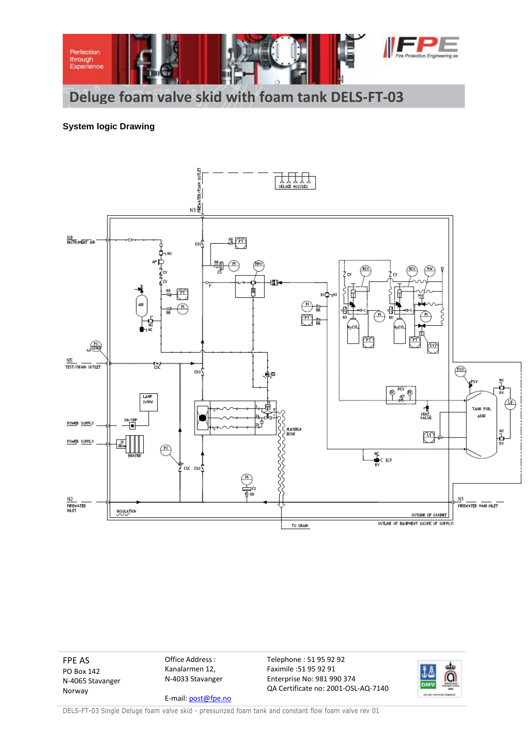

## **System logic Drawing**



FPE AS Office Address : Telephone : 51 95 92 92 alu Kanalarmen 12, Faximile :51 95 92 91 ĴΔ PO Box 142 ര N-4033 Stavanger Enterprise No: 981 990 374 N-4065 Stavanger QA Certificate no: 2001-OSL-AQ-7140 Norway E-mail[: post@fpe.no](mailto:post@fpe.no)

DELS-FT-03 Single Deluge foam valve skid - pressurized foam tank and constant flow foam valve rev 01